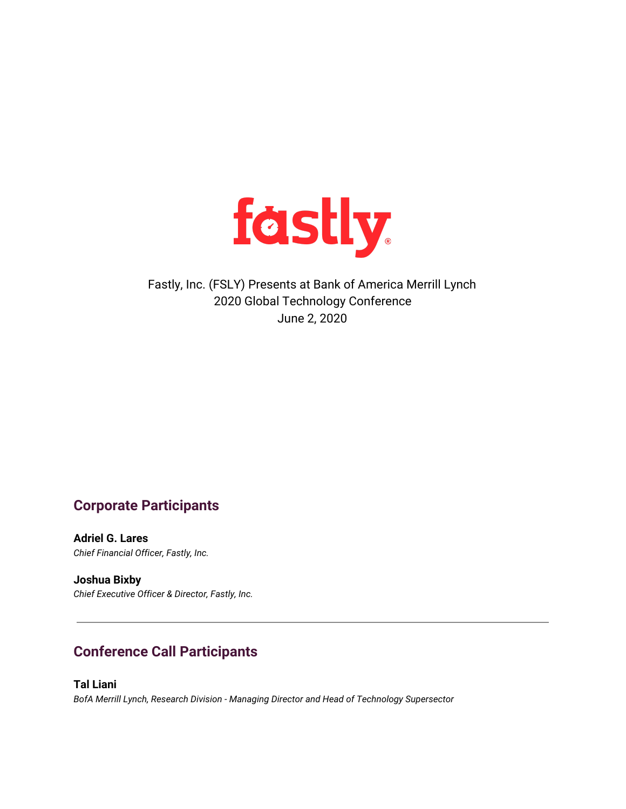

## Fastly, Inc. (FSLY) Presents at Bank of America Merrill Lynch 2020 Global Technology Conference June 2, 2020

## **Corporate Participants**

**Adriel G. Lares** *Chief Financial Officer, Fastly, Inc.*

**Joshua Bixby** *Chief Executive Officer & Director, Fastly, Inc.*

# **Conference Call Participants**

**Tal Liani** *BofA Merrill Lynch, Research Division - Managing Director and Head of Technology Supersector*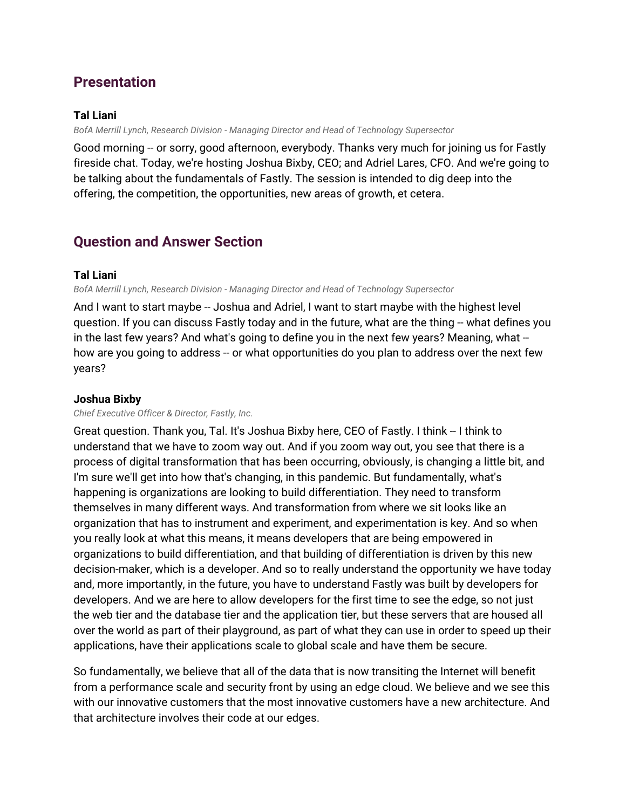## **Presentation**

### **Tal Liani**

*BofA Merrill Lynch, Research Division - Managing Director and Head of Technology Supersector*

Good morning -- or sorry, good afternoon, everybody. Thanks very much for joining us for Fastly fireside chat. Today, we're hosting Joshua Bixby, CEO; and Adriel Lares, CFO. And we're going to be talking about the fundamentals of Fastly. The session is intended to dig deep into the offering, the competition, the opportunities, new areas of growth, et cetera.

## **Question and Answer Section**

### **Tal Liani**

*BofA Merrill Lynch, Research Division - Managing Director and Head of Technology Supersector*

And I want to start maybe -- Joshua and Adriel, I want to start maybe with the highest level question. If you can discuss Fastly today and in the future, what are the thing -- what defines you in the last few years? And what's going to define you in the next few years? Meaning, what - how are you going to address -- or what opportunities do you plan to address over the next few years?

### **Joshua Bixby**

#### *Chief Executive Officer & Director, Fastly, Inc.*

Great question. Thank you, Tal. It's Joshua Bixby here, CEO of Fastly. I think -- I think to understand that we have to zoom way out. And if you zoom way out, you see that there is a process of digital transformation that has been occurring, obviously, is changing a little bit, and I'm sure we'll get into how that's changing, in this pandemic. But fundamentally, what's happening is organizations are looking to build differentiation. They need to transform themselves in many different ways. And transformation from where we sit looks like an organization that has to instrument and experiment, and experimentation is key. And so when you really look at what this means, it means developers that are being empowered in organizations to build differentiation, and that building of differentiation is driven by this new decision-maker, which is a developer. And so to really understand the opportunity we have today and, more importantly, in the future, you have to understand Fastly was built by developers for developers. And we are here to allow developers for the first time to see the edge, so not just the web tier and the database tier and the application tier, but these servers that are housed all over the world as part of their playground, as part of what they can use in order to speed up their applications, have their applications scale to global scale and have them be secure.

So fundamentally, we believe that all of the data that is now transiting the Internet will benefit from a performance scale and security front by using an edge cloud. We believe and we see this with our innovative customers that the most innovative customers have a new architecture. And that architecture involves their code at our edges.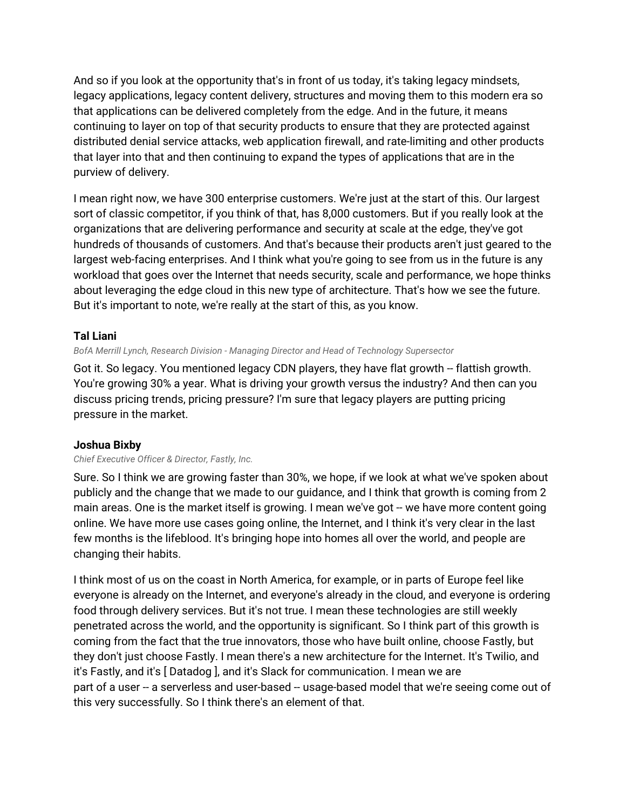And so if you look at the opportunity that's in front of us today, it's taking legacy mindsets, legacy applications, legacy content delivery, structures and moving them to this modern era so that applications can be delivered completely from the edge. And in the future, it means continuing to layer on top of that security products to ensure that they are protected against distributed denial service attacks, web application firewall, and rate-limiting and other products that layer into that and then continuing to expand the types of applications that are in the purview of delivery.

I mean right now, we have 300 enterprise customers. We're just at the start of this. Our largest sort of classic competitor, if you think of that, has 8,000 customers. But if you really look at the organizations that are delivering performance and security at scale at the edge, they've got hundreds of thousands of customers. And that's because their products aren't just geared to the largest web-facing enterprises. And I think what you're going to see from us in the future is any workload that goes over the Internet that needs security, scale and performance, we hope thinks about leveraging the edge cloud in this new type of architecture. That's how we see the future. But it's important to note, we're really at the start of this, as you know.

### **Tal Liani**

*BofA Merrill Lynch, Research Division - Managing Director and Head of Technology Supersector*

Got it. So legacy. You mentioned legacy CDN players, they have flat growth -- flattish growth. You're growing 30% a year. What is driving your growth versus the industry? And then can you discuss pricing trends, pricing pressure? I'm sure that legacy players are putting pricing pressure in the market.

### **Joshua Bixby**

#### *Chief Executive Officer & Director, Fastly, Inc.*

Sure. So I think we are growing faster than 30%, we hope, if we look at what we've spoken about publicly and the change that we made to our guidance, and I think that growth is coming from 2 main areas. One is the market itself is growing. I mean we've got -- we have more content going online. We have more use cases going online, the Internet, and I think it's very clear in the last few months is the lifeblood. It's bringing hope into homes all over the world, and people are changing their habits.

I think most of us on the coast in North America, for example, or in parts of Europe feel like everyone is already on the Internet, and everyone's already in the cloud, and everyone is ordering food through delivery services. But it's not true. I mean these technologies are still weekly penetrated across the world, and the opportunity is significant. So I think part of this growth is coming from the fact that the true innovators, those who have built online, choose Fastly, but they don't just choose Fastly. I mean there's a new architecture for the Internet. It's Twilio, and it's Fastly, and it's [ Datadog ], and it's Slack for communication. I mean we are part of a user -- a serverless and user-based -- usage-based model that we're seeing come out of this very successfully. So I think there's an element of that.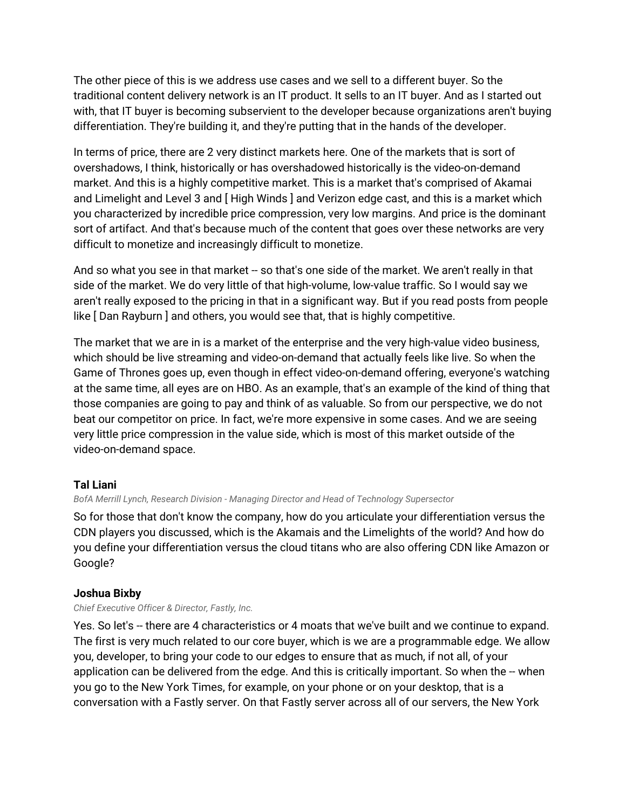The other piece of this is we address use cases and we sell to a different buyer. So the traditional content delivery network is an IT product. It sells to an IT buyer. And as I started out with, that IT buyer is becoming subservient to the developer because organizations aren't buying differentiation. They're building it, and they're putting that in the hands of the developer.

In terms of price, there are 2 very distinct markets here. One of the markets that is sort of overshadows, I think, historically or has overshadowed historically is the video-on-demand market. And this is a highly competitive market. This is a market that's comprised of Akamai and Limelight and Level 3 and [ High Winds ] and Verizon edge cast, and this is a market which you characterized by incredible price compression, very low margins. And price is the dominant sort of artifact. And that's because much of the content that goes over these networks are very difficult to monetize and increasingly difficult to monetize.

And so what you see in that market -- so that's one side of the market. We aren't really in that side of the market. We do very little of that high-volume, low-value traffic. So I would say we aren't really exposed to the pricing in that in a significant way. But if you read posts from people like [ Dan Rayburn ] and others, you would see that, that is highly competitive.

The market that we are in is a market of the enterprise and the very high-value video business, which should be live streaming and video-on-demand that actually feels like live. So when the Game of Thrones goes up, even though in effect video-on-demand offering, everyone's watching at the same time, all eyes are on HBO. As an example, that's an example of the kind of thing that those companies are going to pay and think of as valuable. So from our perspective, we do not beat our competitor on price. In fact, we're more expensive in some cases. And we are seeing very little price compression in the value side, which is most of this market outside of the video-on-demand space.

### **Tal Liani**

#### *BofA Merrill Lynch, Research Division - Managing Director and Head of Technology Supersector*

So for those that don't know the company, how do you articulate your differentiation versus the CDN players you discussed, which is the Akamais and the Limelights of the world? And how do you define your differentiation versus the cloud titans who are also offering CDN like Amazon or Google?

### **Joshua Bixby**

#### *Chief Executive Officer & Director, Fastly, Inc.*

Yes. So let's -- there are 4 characteristics or 4 moats that we've built and we continue to expand. The first is very much related to our core buyer, which is we are a programmable edge. We allow you, developer, to bring your code to our edges to ensure that as much, if not all, of your application can be delivered from the edge. And this is critically important. So when the -- when you go to the New York Times, for example, on your phone or on your desktop, that is a conversation with a Fastly server. On that Fastly server across all of our servers, the New York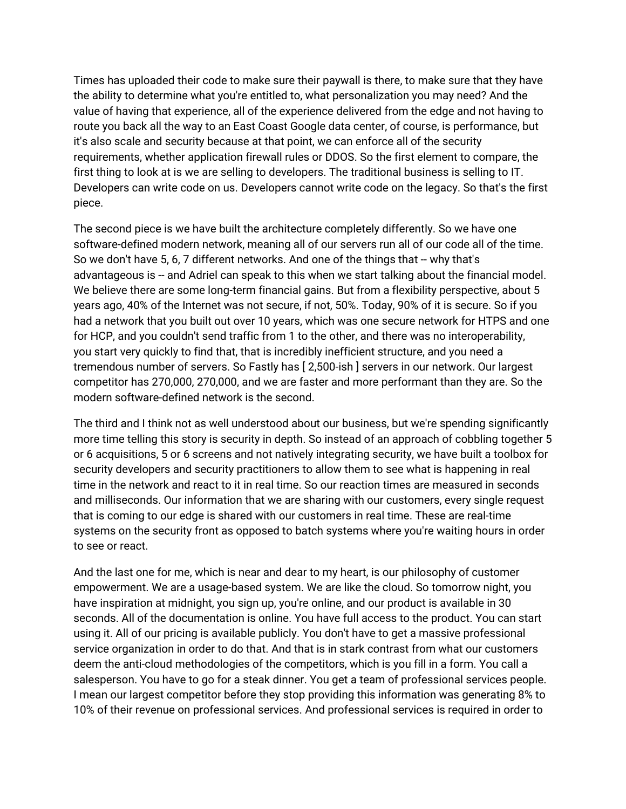Times has uploaded their code to make sure their paywall is there, to make sure that they have the ability to determine what you're entitled to, what personalization you may need? And the value of having that experience, all of the experience delivered from the edge and not having to route you back all the way to an East Coast Google data center, of course, is performance, but it's also scale and security because at that point, we can enforce all of the security requirements, whether application firewall rules or DDOS. So the first element to compare, the first thing to look at is we are selling to developers. The traditional business is selling to IT. Developers can write code on us. Developers cannot write code on the legacy. So that's the first piece.

The second piece is we have built the architecture completely differently. So we have one software-defined modern network, meaning all of our servers run all of our code all of the time. So we don't have 5, 6, 7 different networks. And one of the things that -- why that's advantageous is -- and Adriel can speak to this when we start talking about the financial model. We believe there are some long-term financial gains. But from a flexibility perspective, about 5 years ago, 40% of the Internet was not secure, if not, 50%. Today, 90% of it is secure. So if you had a network that you built out over 10 years, which was one secure network for HTPS and one for HCP, and you couldn't send traffic from 1 to the other, and there was no interoperability, you start very quickly to find that, that is incredibly inefficient structure, and you need a tremendous number of servers. So Fastly has [ 2,500-ish ] servers in our network. Our largest competitor has 270,000, 270,000, and we are faster and more performant than they are. So the modern software-defined network is the second.

The third and I think not as well understood about our business, but we're spending significantly more time telling this story is security in depth. So instead of an approach of cobbling together 5 or 6 acquisitions, 5 or 6 screens and not natively integrating security, we have built a toolbox for security developers and security practitioners to allow them to see what is happening in real time in the network and react to it in real time. So our reaction times are measured in seconds and milliseconds. Our information that we are sharing with our customers, every single request that is coming to our edge is shared with our customers in real time. These are real-time systems on the security front as opposed to batch systems where you're waiting hours in order to see or react.

And the last one for me, which is near and dear to my heart, is our philosophy of customer empowerment. We are a usage-based system. We are like the cloud. So tomorrow night, you have inspiration at midnight, you sign up, you're online, and our product is available in 30 seconds. All of the documentation is online. You have full access to the product. You can start using it. All of our pricing is available publicly. You don't have to get a massive professional service organization in order to do that. And that is in stark contrast from what our customers deem the anti-cloud methodologies of the competitors, which is you fill in a form. You call a salesperson. You have to go for a steak dinner. You get a team of professional services people. I mean our largest competitor before they stop providing this information was generating 8% to 10% of their revenue on professional services. And professional services is required in order to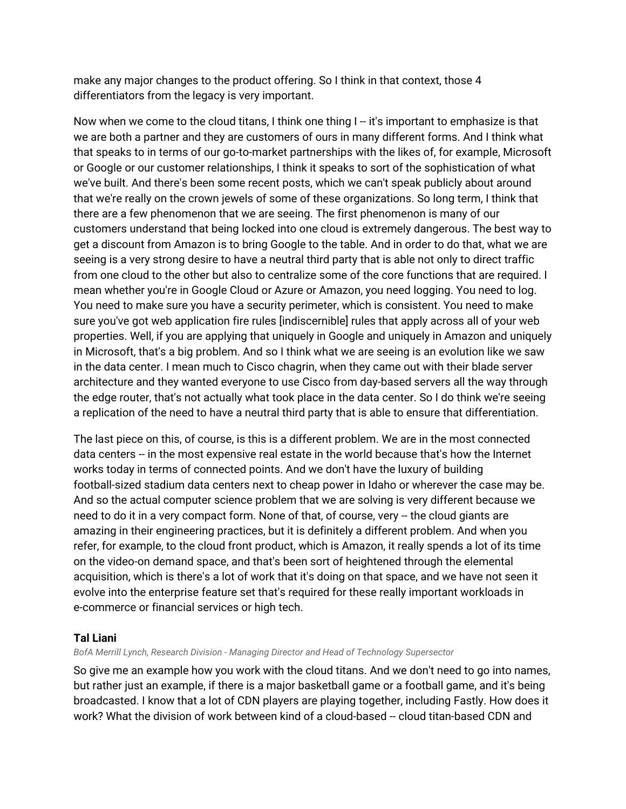make any major changes to the product offering. So I think in that context, those 4 differentiators from the legacy is very important.

Now when we come to the cloud titans, I think one thing I -- it's important to emphasize is that we are both a partner and they are customers of ours in many different forms. And I think what that speaks to in terms of our go-to-market partnerships with the likes of, for example, Microsoft or Google or our customer relationships, I think it speaks to sort of the sophistication of what we've built. And there's been some recent posts, which we can't speak publicly about around that we're really on the crown jewels of some of these organizations. So long term, I think that there are a few phenomenon that we are seeing. The first phenomenon is many of our customers understand that being locked into one cloud is extremely dangerous. The best way to get a discount from Amazon is to bring Google to the table. And in order to do that, what we are seeing is a very strong desire to have a neutral third party that is able not only to direct traffic from one cloud to the other but also to centralize some of the core functions that are required. I mean whether you're in Google Cloud or Azure or Amazon, you need logging. You need to log. You need to make sure you have a security perimeter, which is consistent. You need to make sure you've got web application fire rules [indiscernible] rules that apply across all of your web properties. Well, if you are applying that uniquely in Google and uniquely in Amazon and uniquely in Microsoft, that's a big problem. And so I think what we are seeing is an evolution like we saw in the data center. I mean much to Cisco chagrin, when they came out with their blade server architecture and they wanted everyone to use Cisco from day-based servers all the way through the edge router, that's not actually what took place in the data center. So I do think we're seeing a replication of the need to have a neutral third party that is able to ensure that differentiation.

The last piece on this, of course, is this is a different problem. We are in the most connected data centers -- in the most expensive real estate in the world because that's how the Internet works today in terms of connected points. And we don't have the luxury of building football-sized stadium data centers next to cheap power in Idaho or wherever the case may be. And so the actual computer science problem that we are solving is very different because we need to do it in a very compact form. None of that, of course, very -- the cloud giants are amazing in their engineering practices, but it is definitely a different problem. And when you refer, for example, to the cloud front product, which is Amazon, it really spends a lot of its time on the video-on demand space, and that's been sort of heightened through the elemental acquisition, which is there's a lot of work that it's doing on that space, and we have not seen it evolve into the enterprise feature set that's required for these really important workloads in e-commerce or financial services or high tech.

### **Tal Liani**

*BofA Merrill Lynch, Research Division - Managing Director and Head of Technology Supersector*

So give me an example how you work with the cloud titans. And we don't need to go into names, but rather just an example, if there is a major basketball game or a football game, and it's being broadcasted. I know that a lot of CDN players are playing together, including Fastly. How does it work? What the division of work between kind of a cloud-based -- cloud titan-based CDN and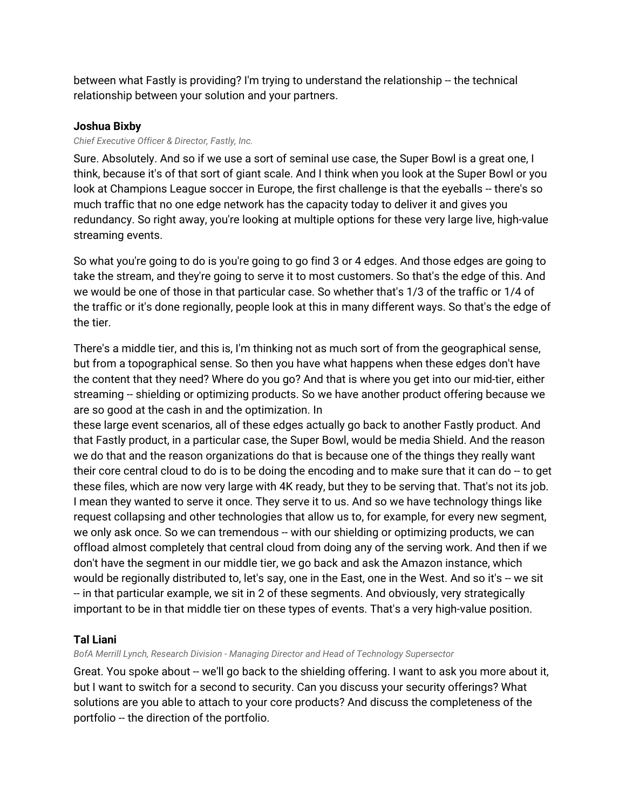between what Fastly is providing? I'm trying to understand the relationship -- the technical relationship between your solution and your partners.

### **Joshua Bixby**

#### *Chief Executive Officer & Director, Fastly, Inc.*

Sure. Absolutely. And so if we use a sort of seminal use case, the Super Bowl is a great one, I think, because it's of that sort of giant scale. And I think when you look at the Super Bowl or you look at Champions League soccer in Europe, the first challenge is that the eyeballs -- there's so much traffic that no one edge network has the capacity today to deliver it and gives you redundancy. So right away, you're looking at multiple options for these very large live, high-value streaming events.

So what you're going to do is you're going to go find 3 or 4 edges. And those edges are going to take the stream, and they're going to serve it to most customers. So that's the edge of this. And we would be one of those in that particular case. So whether that's 1/3 of the traffic or 1/4 of the traffic or it's done regionally, people look at this in many different ways. So that's the edge of the tier.

There's a middle tier, and this is, I'm thinking not as much sort of from the geographical sense, but from a topographical sense. So then you have what happens when these edges don't have the content that they need? Where do you go? And that is where you get into our mid-tier, either streaming -- shielding or optimizing products. So we have another product offering because we are so good at the cash in and the optimization. In

these large event scenarios, all of these edges actually go back to another Fastly product. And that Fastly product, in a particular case, the Super Bowl, would be media Shield. And the reason we do that and the reason organizations do that is because one of the things they really want their core central cloud to do is to be doing the encoding and to make sure that it can do  $-$  to get these files, which are now very large with 4K ready, but they to be serving that. That's not its job. I mean they wanted to serve it once. They serve it to us. And so we have technology things like request collapsing and other technologies that allow us to, for example, for every new segment, we only ask once. So we can tremendous -- with our shielding or optimizing products, we can offload almost completely that central cloud from doing any of the serving work. And then if we don't have the segment in our middle tier, we go back and ask the Amazon instance, which would be regionally distributed to, let's say, one in the East, one in the West. And so it's -- we sit -- in that particular example, we sit in 2 of these segments. And obviously, very strategically important to be in that middle tier on these types of events. That's a very high-value position.

### **Tal Liani**

*BofA Merrill Lynch, Research Division - Managing Director and Head of Technology Supersector*

Great. You spoke about -- we'll go back to the shielding offering. I want to ask you more about it, but I want to switch for a second to security. Can you discuss your security offerings? What solutions are you able to attach to your core products? And discuss the completeness of the portfolio -- the direction of the portfolio.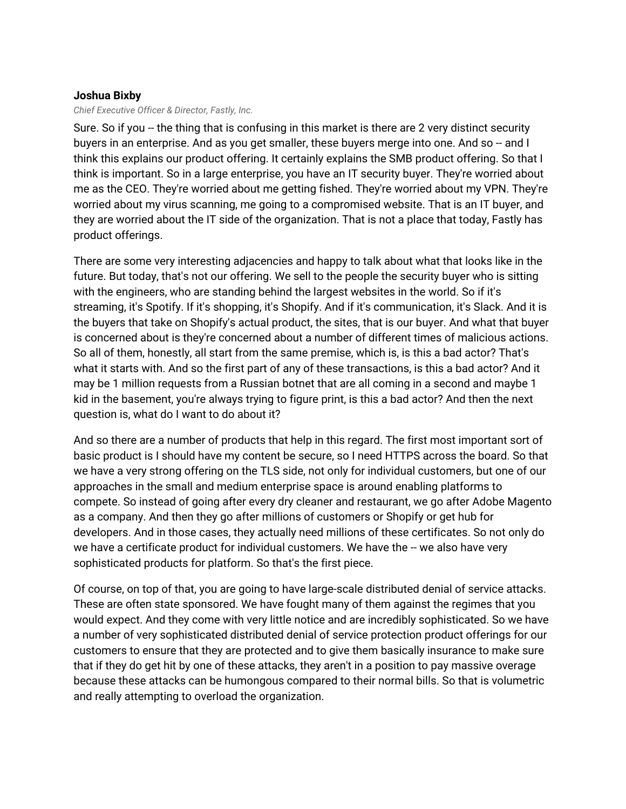### **Joshua Bixby**

*Chief Executive Officer & Director, Fastly, Inc.*

Sure. So if you -- the thing that is confusing in this market is there are 2 very distinct security buyers in an enterprise. And as you get smaller, these buyers merge into one. And so -- and I think this explains our product offering. It certainly explains the SMB product offering. So that I think is important. So in a large enterprise, you have an IT security buyer. They're worried about me as the CEO. They're worried about me getting fished. They're worried about my VPN. They're worried about my virus scanning, me going to a compromised website. That is an IT buyer, and they are worried about the IT side of the organization. That is not a place that today, Fastly has product offerings.

There are some very interesting adjacencies and happy to talk about what that looks like in the future. But today, that's not our offering. We sell to the people the security buyer who is sitting with the engineers, who are standing behind the largest websites in the world. So if it's streaming, it's Spotify. If it's shopping, it's Shopify. And if it's communication, it's Slack. And it is the buyers that take on Shopify's actual product, the sites, that is our buyer. And what that buyer is concerned about is they're concerned about a number of different times of malicious actions. So all of them, honestly, all start from the same premise, which is, is this a bad actor? That's what it starts with. And so the first part of any of these transactions, is this a bad actor? And it may be 1 million requests from a Russian botnet that are all coming in a second and maybe 1 kid in the basement, you're always trying to figure print, is this a bad actor? And then the next question is, what do I want to do about it?

And so there are a number of products that help in this regard. The first most important sort of basic product is I should have my content be secure, so I need HTTPS across the board. So that we have a very strong offering on the TLS side, not only for individual customers, but one of our approaches in the small and medium enterprise space is around enabling platforms to compete. So instead of going after every dry cleaner and restaurant, we go after Adobe Magento as a company. And then they go after millions of customers or Shopify or get hub for developers. And in those cases, they actually need millions of these certificates. So not only do we have a certificate product for individual customers. We have the -- we also have very sophisticated products for platform. So that's the first piece.

Of course, on top of that, you are going to have large-scale distributed denial of service attacks. These are often state sponsored. We have fought many of them against the regimes that you would expect. And they come with very little notice and are incredibly sophisticated. So we have a number of very sophisticated distributed denial of service protection product offerings for our customers to ensure that they are protected and to give them basically insurance to make sure that if they do get hit by one of these attacks, they aren't in a position to pay massive overage because these attacks can be humongous compared to their normal bills. So that is volumetric and really attempting to overload the organization.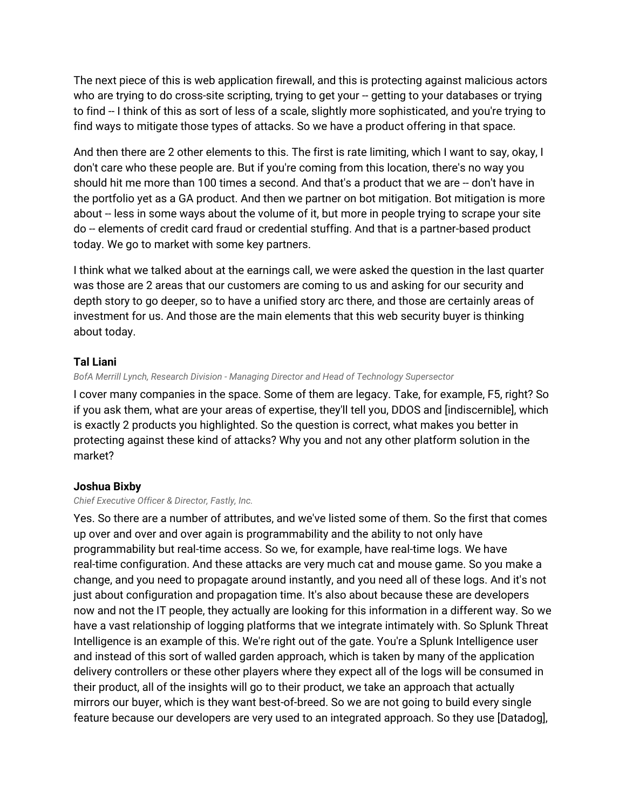The next piece of this is web application firewall, and this is protecting against malicious actors who are trying to do cross-site scripting, trying to get your -- getting to your databases or trying to find -- I think of this as sort of less of a scale, slightly more sophisticated, and you're trying to find ways to mitigate those types of attacks. So we have a product offering in that space.

And then there are 2 other elements to this. The first is rate limiting, which I want to say, okay, I don't care who these people are. But if you're coming from this location, there's no way you should hit me more than 100 times a second. And that's a product that we are -- don't have in the portfolio yet as a GA product. And then we partner on bot mitigation. Bot mitigation is more about -- less in some ways about the volume of it, but more in people trying to scrape your site do -- elements of credit card fraud or credential stuffing. And that is a partner-based product today. We go to market with some key partners.

I think what we talked about at the earnings call, we were asked the question in the last quarter was those are 2 areas that our customers are coming to us and asking for our security and depth story to go deeper, so to have a unified story arc there, and those are certainly areas of investment for us. And those are the main elements that this web security buyer is thinking about today.

### **Tal Liani**

#### *BofA Merrill Lynch, Research Division - Managing Director and Head of Technology Supersector*

I cover many companies in the space. Some of them are legacy. Take, for example, F5, right? So if you ask them, what are your areas of expertise, they'll tell you, DDOS and [indiscernible], which is exactly 2 products you highlighted. So the question is correct, what makes you better in protecting against these kind of attacks? Why you and not any other platform solution in the market?

#### **Joshua Bixby**

#### *Chief Executive Officer & Director, Fastly, Inc.*

Yes. So there are a number of attributes, and we've listed some of them. So the first that comes up over and over and over again is programmability and the ability to not only have programmability but real-time access. So we, for example, have real-time logs. We have real-time configuration. And these attacks are very much cat and mouse game. So you make a change, and you need to propagate around instantly, and you need all of these logs. And it's not just about configuration and propagation time. It's also about because these are developers now and not the IT people, they actually are looking for this information in a different way. So we have a vast relationship of logging platforms that we integrate intimately with. So Splunk Threat Intelligence is an example of this. We're right out of the gate. You're a Splunk Intelligence user and instead of this sort of walled garden approach, which is taken by many of the application delivery controllers or these other players where they expect all of the logs will be consumed in their product, all of the insights will go to their product, we take an approach that actually mirrors our buyer, which is they want best-of-breed. So we are not going to build every single feature because our developers are very used to an integrated approach. So they use [Datadog],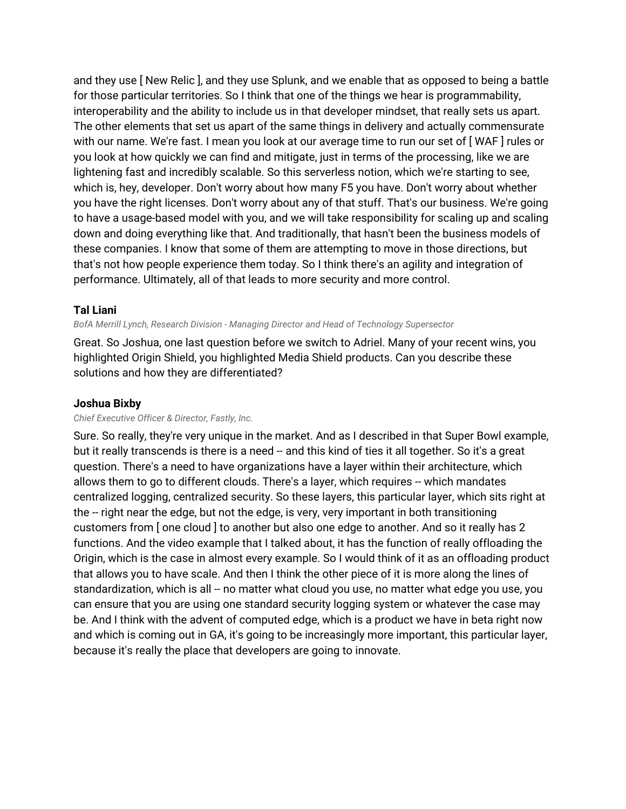and they use [ New Relic ], and they use Splunk, and we enable that as opposed to being a battle for those particular territories. So I think that one of the things we hear is programmability, interoperability and the ability to include us in that developer mindset, that really sets us apart. The other elements that set us apart of the same things in delivery and actually commensurate with our name. We're fast. I mean you look at our average time to run our set of [ WAF ] rules or you look at how quickly we can find and mitigate, just in terms of the processing, like we are lightening fast and incredibly scalable. So this serverless notion, which we're starting to see, which is, hey, developer. Don't worry about how many F5 you have. Don't worry about whether you have the right licenses. Don't worry about any of that stuff. That's our business. We're going to have a usage-based model with you, and we will take responsibility for scaling up and scaling down and doing everything like that. And traditionally, that hasn't been the business models of these companies. I know that some of them are attempting to move in those directions, but that's not how people experience them today. So I think there's an agility and integration of performance. Ultimately, all of that leads to more security and more control.

### **Tal Liani**

#### *BofA Merrill Lynch, Research Division - Managing Director and Head of Technology Supersector*

Great. So Joshua, one last question before we switch to Adriel. Many of your recent wins, you highlighted Origin Shield, you highlighted Media Shield products. Can you describe these solutions and how they are differentiated?

### **Joshua Bixby**

#### *Chief Executive Officer & Director, Fastly, Inc.*

Sure. So really, they're very unique in the market. And as I described in that Super Bowl example, but it really transcends is there is a need -- and this kind of ties it all together. So it's a great question. There's a need to have organizations have a layer within their architecture, which allows them to go to different clouds. There's a layer, which requires -- which mandates centralized logging, centralized security. So these layers, this particular layer, which sits right at the -- right near the edge, but not the edge, is very, very important in both transitioning customers from [ one cloud ] to another but also one edge to another. And so it really has 2 functions. And the video example that I talked about, it has the function of really offloading the Origin, which is the case in almost every example. So I would think of it as an offloading product that allows you to have scale. And then I think the other piece of it is more along the lines of standardization, which is all -- no matter what cloud you use, no matter what edge you use, you can ensure that you are using one standard security logging system or whatever the case may be. And I think with the advent of computed edge, which is a product we have in beta right now and which is coming out in GA, it's going to be increasingly more important, this particular layer, because it's really the place that developers are going to innovate.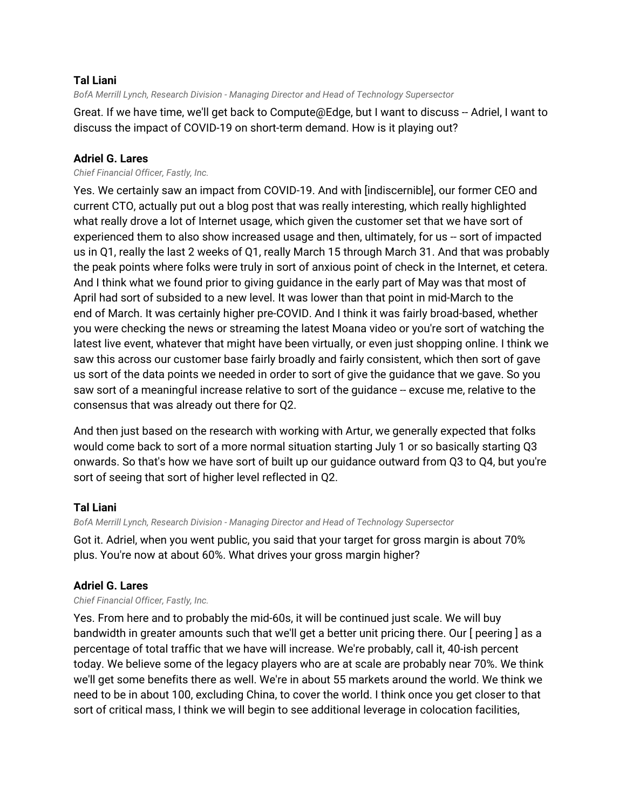### **Tal Liani**

*BofA Merrill Lynch, Research Division - Managing Director and Head of Technology Supersector*

Great. If we have time, we'll get back to Compute@Edge, but I want to discuss -- Adriel, I want to discuss the impact of COVID-19 on short-term demand. How is it playing out?

### **Adriel G. Lares**

#### *Chief Financial Officer, Fastly, Inc.*

Yes. We certainly saw an impact from COVID-19. And with [indiscernible], our former CEO and current CTO, actually put out a blog post that was really interesting, which really highlighted what really drove a lot of Internet usage, which given the customer set that we have sort of experienced them to also show increased usage and then, ultimately, for us -- sort of impacted us in Q1, really the last 2 weeks of Q1, really March 15 through March 31. And that was probably the peak points where folks were truly in sort of anxious point of check in the Internet, et cetera. And I think what we found prior to giving guidance in the early part of May was that most of April had sort of subsided to a new level. It was lower than that point in mid-March to the end of March. It was certainly higher pre-COVID. And I think it was fairly broad-based, whether you were checking the news or streaming the latest Moana video or you're sort of watching the latest live event, whatever that might have been virtually, or even just shopping online. I think we saw this across our customer base fairly broadly and fairly consistent, which then sort of gave us sort of the data points we needed in order to sort of give the guidance that we gave. So you saw sort of a meaningful increase relative to sort of the guidance -- excuse me, relative to the consensus that was already out there for Q2.

And then just based on the research with working with Artur, we generally expected that folks would come back to sort of a more normal situation starting July 1 or so basically starting Q3 onwards. So that's how we have sort of built up our guidance outward from Q3 to Q4, but you're sort of seeing that sort of higher level reflected in Q2.

### **Tal Liani**

*BofA Merrill Lynch, Research Division - Managing Director and Head of Technology Supersector*

Got it. Adriel, when you went public, you said that your target for gross margin is about 70% plus. You're now at about 60%. What drives your gross margin higher?

### **Adriel G. Lares**

*Chief Financial Officer, Fastly, Inc.*

Yes. From here and to probably the mid-60s, it will be continued just scale. We will buy bandwidth in greater amounts such that we'll get a better unit pricing there. Our [ peering ] as a percentage of total traffic that we have will increase. We're probably, call it, 40-ish percent today. We believe some of the legacy players who are at scale are probably near 70%. We think we'll get some benefits there as well. We're in about 55 markets around the world. We think we need to be in about 100, excluding China, to cover the world. I think once you get closer to that sort of critical mass, I think we will begin to see additional leverage in colocation facilities,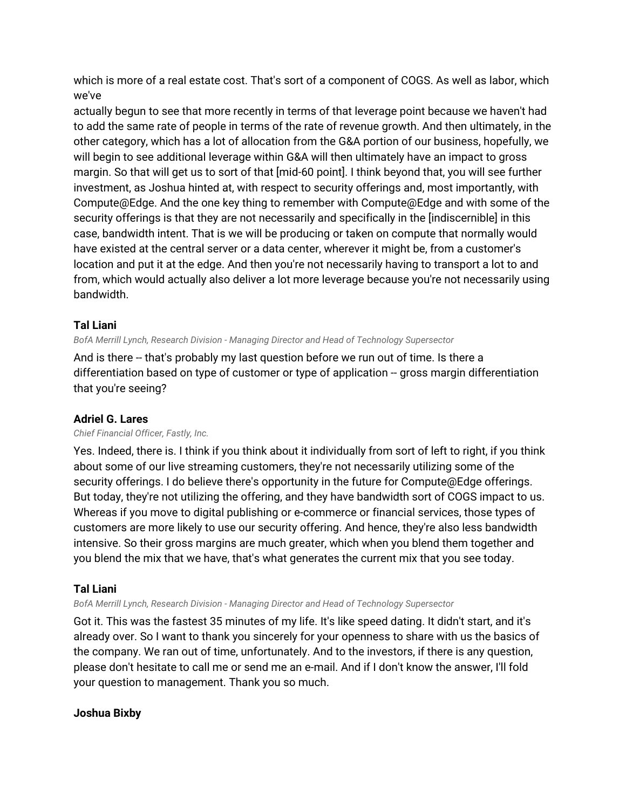which is more of a real estate cost. That's sort of a component of COGS. As well as labor, which we've

actually begun to see that more recently in terms of that leverage point because we haven't had to add the same rate of people in terms of the rate of revenue growth. And then ultimately, in the other category, which has a lot of allocation from the G&A portion of our business, hopefully, we will begin to see additional leverage within G&A will then ultimately have an impact to gross margin. So that will get us to sort of that [mid-60 point]. I think beyond that, you will see further investment, as Joshua hinted at, with respect to security offerings and, most importantly, with Compute@Edge. And the one key thing to remember with Compute@Edge and with some of the security offerings is that they are not necessarily and specifically in the [indiscernible] in this case, bandwidth intent. That is we will be producing or taken on compute that normally would have existed at the central server or a data center, wherever it might be, from a customer's location and put it at the edge. And then you're not necessarily having to transport a lot to and from, which would actually also deliver a lot more leverage because you're not necessarily using bandwidth.

### **Tal Liani**

*BofA Merrill Lynch, Research Division - Managing Director and Head of Technology Supersector*

And is there -- that's probably my last question before we run out of time. Is there a differentiation based on type of customer or type of application -- gross margin differentiation that you're seeing?

### **Adriel G. Lares**

#### *Chief Financial Officer, Fastly, Inc.*

Yes. Indeed, there is. I think if you think about it individually from sort of left to right, if you think about some of our live streaming customers, they're not necessarily utilizing some of the security offerings. I do believe there's opportunity in the future for Compute@Edge offerings. But today, they're not utilizing the offering, and they have bandwidth sort of COGS impact to us. Whereas if you move to digital publishing or e-commerce or financial services, those types of customers are more likely to use our security offering. And hence, they're also less bandwidth intensive. So their gross margins are much greater, which when you blend them together and you blend the mix that we have, that's what generates the current mix that you see today.

### **Tal Liani**

*BofA Merrill Lynch, Research Division - Managing Director and Head of Technology Supersector*

Got it. This was the fastest 35 minutes of my life. It's like speed dating. It didn't start, and it's already over. So I want to thank you sincerely for your openness to share with us the basics of the company. We ran out of time, unfortunately. And to the investors, if there is any question, please don't hesitate to call me or send me an e-mail. And if I don't know the answer, I'll fold your question to management. Thank you so much.

### **Joshua Bixby**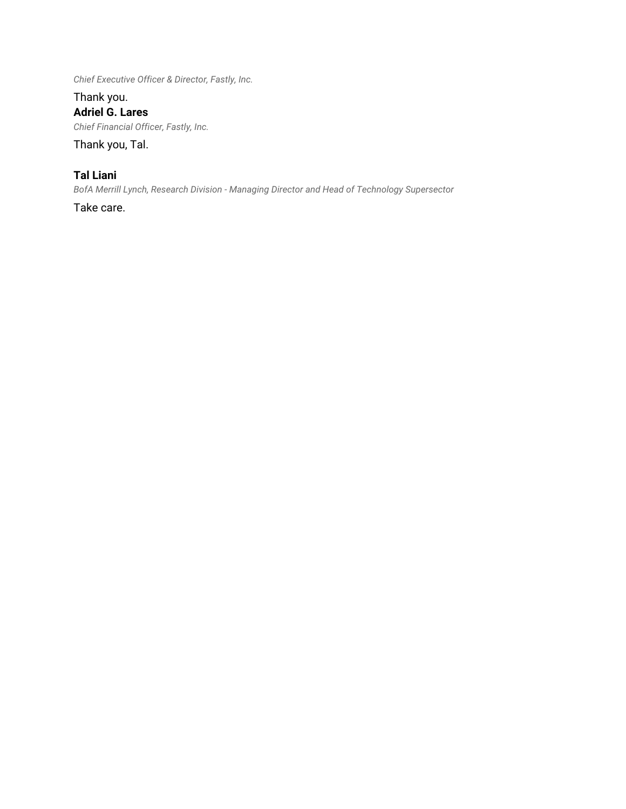*Chief Executive Officer & Director, Fastly, Inc.*

Thank you. **Adriel G. Lares** *Chief Financial Officer, Fastly, Inc.*

Thank you, Tal.

## **Tal Liani**

*BofA Merrill Lynch, Research Division - Managing Director and Head of Technology Supersector*

Take care.